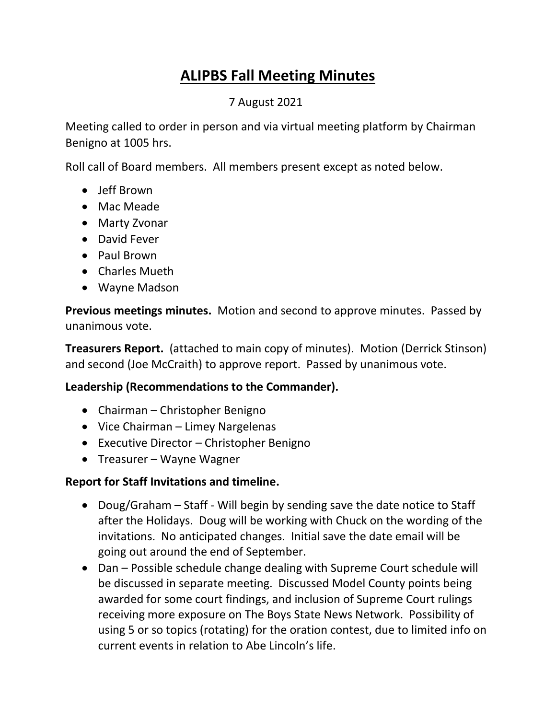# **ALIPBS Fall Meeting Minutes**

## 7 August 2021

Meeting called to order in person and via virtual meeting platform by Chairman Benigno at 1005 hrs.

Roll call of Board members. All members present except as noted below.

- Jeff Brown
- Mac Meade
- Marty Zvonar
- David Fever
- Paul Brown
- Charles Mueth
- Wayne Madson

**Previous meetings minutes.** Motion and second to approve minutes. Passed by unanimous vote.

**Treasurers Report.** (attached to main copy of minutes). Motion (Derrick Stinson) and second (Joe McCraith) to approve report. Passed by unanimous vote.

## **Leadership (Recommendations to the Commander).**

- Chairman Christopher Benigno
- Vice Chairman Limey Nargelenas
- Executive Director Christopher Benigno
- Treasurer Wayne Wagner

#### **Report for Staff Invitations and timeline.**

- Doug/Graham Staff Will begin by sending save the date notice to Staff after the Holidays. Doug will be working with Chuck on the wording of the invitations. No anticipated changes. Initial save the date email will be going out around the end of September.
- Dan Possible schedule change dealing with Supreme Court schedule will be discussed in separate meeting. Discussed Model County points being awarded for some court findings, and inclusion of Supreme Court rulings receiving more exposure on The Boys State News Network. Possibility of using 5 or so topics (rotating) for the oration contest, due to limited info on current events in relation to Abe Lincoln's life.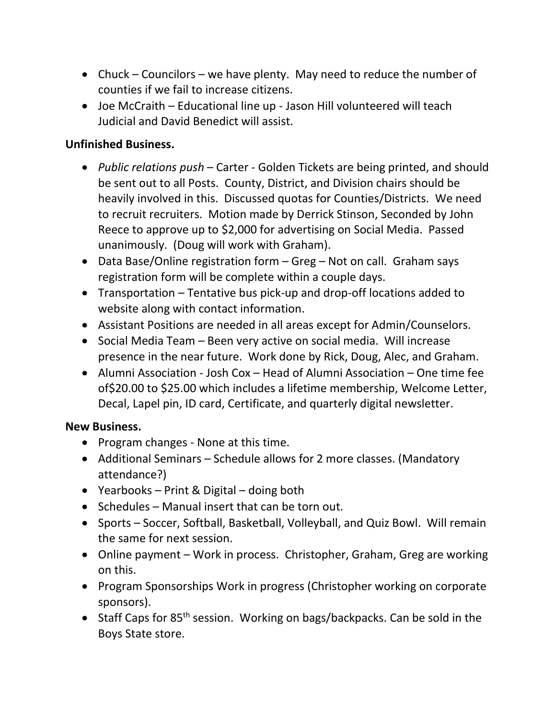- Chuck Councilors we have plenty. May need to reduce the number of counties if we fail to increase citizens.
- Joe McCraith Educational line up Jason Hill volunteered will teach Judicial and David Benedict will assist.

### **Unfinished Business.**

- *Public relations push*  Carter Golden Tickets are being printed, and should be sent out to all Posts. County, District, and Division chairs should be heavily involved in this. Discussed quotas for Counties/Districts. We need to recruit recruiters. Motion made by Derrick Stinson, Seconded by John Reece to approve up to \$2,000 for advertising on Social Media. Passed unanimously. (Doug will work with Graham).
- Data Base/Online registration form Greg Not on call. Graham says registration form will be complete within a couple days.
- Transportation Tentative bus pick-up and drop-off locations added to website along with contact information.
- Assistant Positions are needed in all areas except for Admin/Counselors.
- Social Media Team Been very active on social media. Will increase presence in the near future. Work done by Rick, Doug, Alec, and Graham.
- Alumni Association Josh Cox Head of Alumni Association One time fee of\$20.00 to \$25.00 which includes a lifetime membership, Welcome Letter, Decal, Lapel pin, ID card, Certificate, and quarterly digital newsletter.

#### **New Business.**

- Program changes None at this time.
- Additional Seminars Schedule allows for 2 more classes. (Mandatory attendance?)
- Yearbooks Print & Digital doing both
- Schedules Manual insert that can be torn out.
- Sports Soccer, Softball, Basketball, Volleyball, and Quiz Bowl. Will remain the same for next session.
- Online payment Work in process. Christopher, Graham, Greg are working on this.
- Program Sponsorships Work in progress (Christopher working on corporate sponsors).
- Staff Caps for 85<sup>th</sup> session. Working on bags/backpacks. Can be sold in the Boys State store.